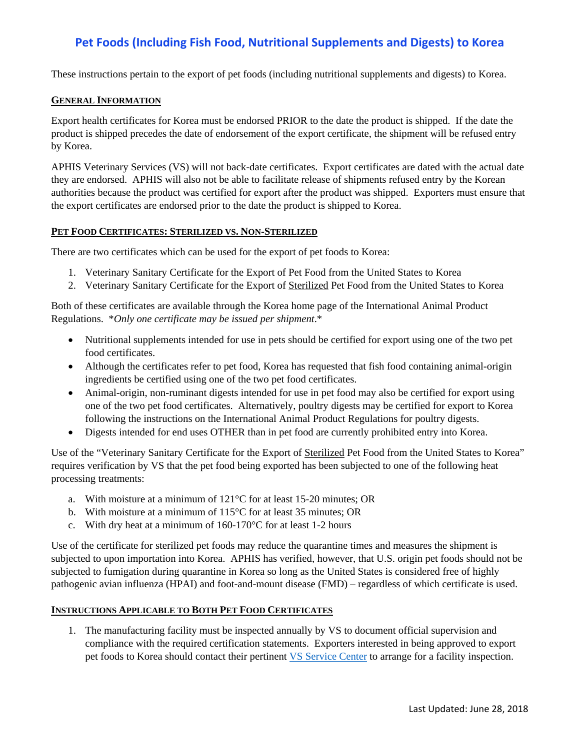# **Pet Foods (Including Fish Food, Nutritional Supplements and Digests) to Korea**

These instructions pertain to the export of pet foods (including nutritional supplements and digests) to Korea.

#### **GENERAL INFORMATION**

Export health certificates for Korea must be endorsed PRIOR to the date the product is shipped. If the date the product is shipped precedes the date of endorsement of the export certificate, the shipment will be refused entry by Korea.

APHIS Veterinary Services (VS) will not back-date certificates. Export certificates are dated with the actual date they are endorsed. APHIS will also not be able to facilitate release of shipments refused entry by the Korean authorities because the product was certified for export after the product was shipped. Exporters must ensure that the export certificates are endorsed prior to the date the product is shipped to Korea.

### **PET FOOD CERTIFICATES: STERILIZED VS. NON-STERILIZED**

There are two certificates which can be used for the export of pet foods to Korea:

- 1. Veterinary Sanitary Certificate for the Export of Pet Food from the United States to Korea
- 2. Veterinary Sanitary Certificate for the Export of Sterilized Pet Food from the United States to Korea

Both of these certificates are available through the Korea home page of the International Animal Product Regulations. \**Only one certificate may be issued per shipment*.\*

- Nutritional supplements intended for use in pets should be certified for export using one of the two pet food certificates.
- Although the certificates refer to pet food, Korea has requested that fish food containing animal-origin ingredients be certified using one of the two pet food certificates.
- Animal-origin, non-ruminant digests intended for use in pet food may also be certified for export using one of the two pet food certificates. Alternatively, poultry digests may be certified for export to Korea following the instructions on the International Animal Product Regulations for poultry digests.
- Digests intended for end uses OTHER than in pet food are currently prohibited entry into Korea.

Use of the "Veterinary Sanitary Certificate for the Export of Sterilized Pet Food from the United States to Korea" requires verification by VS that the pet food being exported has been subjected to one of the following heat processing treatments:

- a. With moisture at a minimum of 121°C for at least 15-20 minutes; OR
- b. With moisture at a minimum of 115°C for at least 35 minutes; OR
- c. With dry heat at a minimum of 160-170°C for at least 1-2 hours

Use of the certificate for sterilized pet foods may reduce the quarantine times and measures the shipment is subjected to upon importation into Korea. APHIS has verified, however, that U.S. origin pet foods should not be subjected to fumigation during quarantine in Korea so long as the United States is considered free of highly pathogenic avian influenza (HPAI) and foot-and-mount disease (FMD) – regardless of which certificate is used.

### **INSTRUCTIONS APPLICABLE TO BOTH PET FOOD CERTIFICATES**

1. The manufacturing facility must be inspected annually by VS to document official supervision and compliance with the required certification statements. Exporters interested in being approved to export pet foods to Korea should contact their pertinent [VS Service Center](https://www.aphis.usda.gov/animal_health/downloads/nies_contacts/sc.pdf) to arrange for a facility inspection.